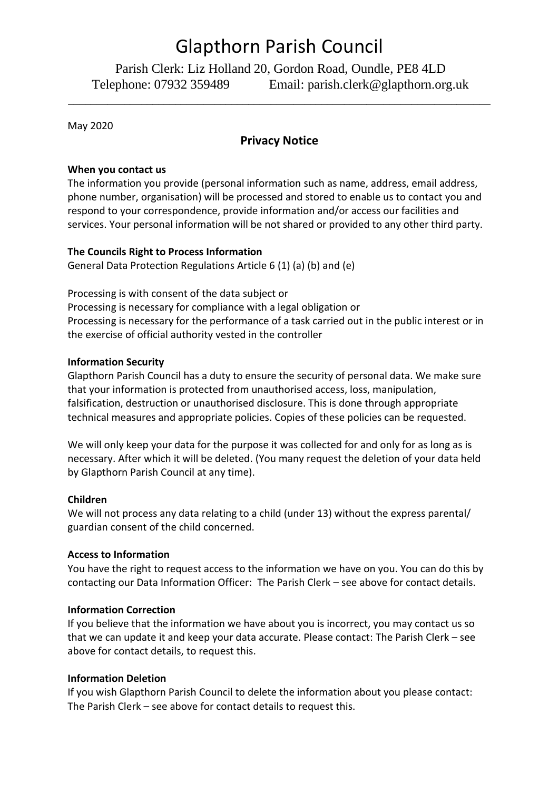# Glapthorn Parish Council

Parish Clerk: Liz Holland 20, Gordon Road, Oundle, PE8 4LD Telephone: 07932 359489 Email: parish.clerk@glapthorn.org.uk

May 2020

# **Privacy Notice**

\_\_\_\_\_\_\_\_\_\_\_\_\_\_\_\_\_\_\_\_\_\_\_\_\_\_\_\_\_\_\_\_\_\_\_\_\_\_\_\_\_\_\_\_\_\_\_\_\_\_\_\_\_\_\_\_\_\_\_\_\_\_\_\_\_\_\_\_\_\_\_\_\_\_\_

# **When you contact us**

The information you provide (personal information such as name, address, email address, phone number, organisation) will be processed and stored to enable us to contact you and respond to your correspondence, provide information and/or access our facilities and services. Your personal information will be not shared or provided to any other third party.

# **The Councils Right to Process Information**

General Data Protection Regulations Article 6 (1) (a) (b) and (e)

Processing is with consent of the data subject or Processing is necessary for compliance with a legal obligation or Processing is necessary for the performance of a task carried out in the public interest or in the exercise of official authority vested in the controller

# **Information Security**

Glapthorn Parish Council has a duty to ensure the security of personal data. We make sure that your information is protected from unauthorised access, loss, manipulation, falsification, destruction or unauthorised disclosure. This is done through appropriate technical measures and appropriate policies. Copies of these policies can be requested.

We will only keep your data for the purpose it was collected for and only for as long as is necessary. After which it will be deleted. (You many request the deletion of your data held by Glapthorn Parish Council at any time).

#### **Children**

We will not process any data relating to a child (under 13) without the express parental/ guardian consent of the child concerned.

#### **Access to Information**

You have the right to request access to the information we have on you. You can do this by contacting our Data Information Officer: The Parish Clerk – see above for contact details.

# **Information Correction**

If you believe that the information we have about you is incorrect, you may contact us so that we can update it and keep your data accurate. Please contact: The Parish Clerk – see above for contact details, to request this.

# **Information Deletion**

If you wish Glapthorn Parish Council to delete the information about you please contact: The Parish Clerk – see above for contact details to request this.